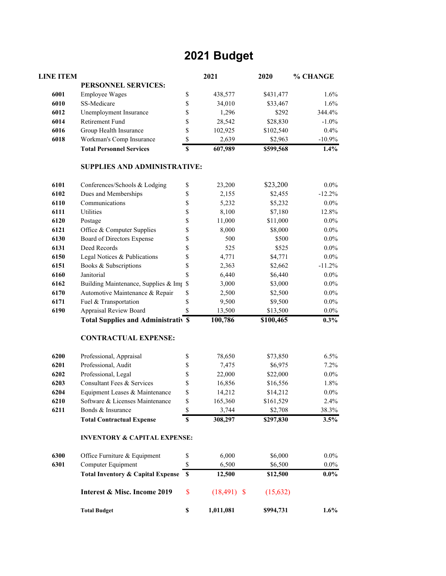## **2021 Budget**

| <b>LINE ITEM</b> |                                              |             | 2021           | 2020      | % CHANGE |
|------------------|----------------------------------------------|-------------|----------------|-----------|----------|
|                  | PERSONNEL SERVICES:                          |             |                |           |          |
| 6001             | <b>Employee Wages</b>                        | \$          | 438,577        | \$431,477 | 1.6%     |
| 6010             | SS-Medicare                                  | \$          | 34,010         | \$33,467  | 1.6%     |
| 6012             | Unemployment Insurance                       | \$          | 1,296          | \$292     | 344.4%   |
| 6014             | Retirement Fund                              | \$          | 28,542         | \$28,830  | $-1.0\%$ |
| 6016             | Group Health Insurance                       | \$          | 102,925        | \$102,540 | 0.4%     |
| 6018             | Workman's Comp Insurance                     | $\mathbb S$ | 2,639          | \$2,963   | $-10.9%$ |
|                  | <b>Total Personnel Services</b>              | \$          | 607,989        | \$599,568 | 1.4%     |
|                  | <b>SUPPLIES AND ADMINISTRATIVE:</b>          |             |                |           |          |
| 6101             | Conferences/Schools & Lodging                | \$          | 23,200         | \$23,200  | $0.0\%$  |
| 6102             | Dues and Memberships                         | \$          | 2,155          | \$2,455   | $-12.2%$ |
| 6110             | Communications                               | \$          | 5,232          | \$5,232   | $0.0\%$  |
| 6111             | Utilities                                    | \$          | 8,100          | \$7,180   | 12.8%    |
| 6120             | Postage                                      | \$          | 11,000         | \$11,000  | $0.0\%$  |
| 6121             | Office & Computer Supplies                   | \$          | 8,000          | \$8,000   | $0.0\%$  |
| 6130             | Board of Directors Expense                   | \$          | 500            | \$500     | $0.0\%$  |
| 6131             | Deed Records                                 | \$          | 525            | \$525     | $0.0\%$  |
| 6150             | Legal Notices & Publications                 | \$          | 4,771          | \$4,771   | $0.0\%$  |
| 6151             | Books & Subscriptions                        | \$          | 2,363          | \$2,662   | $-11.2%$ |
| 6160             | Janitorial                                   | \$          | 6,440          | \$6,440   | $0.0\%$  |
| 6162             | Building Maintenance, Supplies & Imp         | \$          | 3,000          | \$3,000   | $0.0\%$  |
| 6170             | Automotive Maintenance & Repair              | \$          | 2,500          | \$2,500   | $0.0\%$  |
| 6171             | Fuel & Transportation                        | \$          | 9,500          | \$9,500   | $0.0\%$  |
| 6190             | Appraisal Review Board                       | \$          | 13,500         | \$13,500  | $0.0\%$  |
|                  | <b>Total Supplies and Administrativ \$</b>   |             | 100,786        | \$100,465 | $0.3\%$  |
|                  | <b>CONTRACTUAL EXPENSE:</b>                  |             |                |           |          |
| 6200             | Professional, Appraisal                      | \$          | 78,650         | \$73,850  | 6.5%     |
| 6201             | Professional, Audit                          | \$          | 7,475          | \$6,975   | 7.2%     |
| 6202             | Professional, Legal                          | \$          | 22,000         | \$22,000  | $0.0\%$  |
| 6203             | Consultant Fees & Services                   | \$          | 16,856         | \$16,556  | 1.8%     |
| 6204             | Equipment Leases & Maintenance               | \$          | 14,212         | \$14,212  | $0.0\%$  |
| 6210             | Software & Licenses Maintenance              | \$          | 165,360        | \$161,529 | 2.4%     |
| 6211             | Bonds & Insurance                            | \$          | 3,744          | \$2,708   | 38.3%    |
|                  | <b>Total Contractual Expense</b>             | \$          | 308,297        | \$297,830 | 3.5%     |
|                  | <b>INVENTORY &amp; CAPITAL EXPENSE:</b>      |             |                |           |          |
| 6300             | Office Furniture & Equipment                 | \$          | 6,000          | \$6,000   | $0.0\%$  |
| 6301             | Computer Equipment                           | \$          | 6,500          | \$6,500   | $0.0\%$  |
|                  | <b>Total Inventory &amp; Capital Expense</b> | \$          | 12,500         | \$12,500  | $0.0\%$  |
|                  | Interest & Misc. Income 2019                 | \$          | $(18, 491)$ \$ | (15, 632) |          |
|                  | <b>Total Budget</b>                          | $\mathbb S$ | 1,011,081      | \$994,731 | $1.6\%$  |